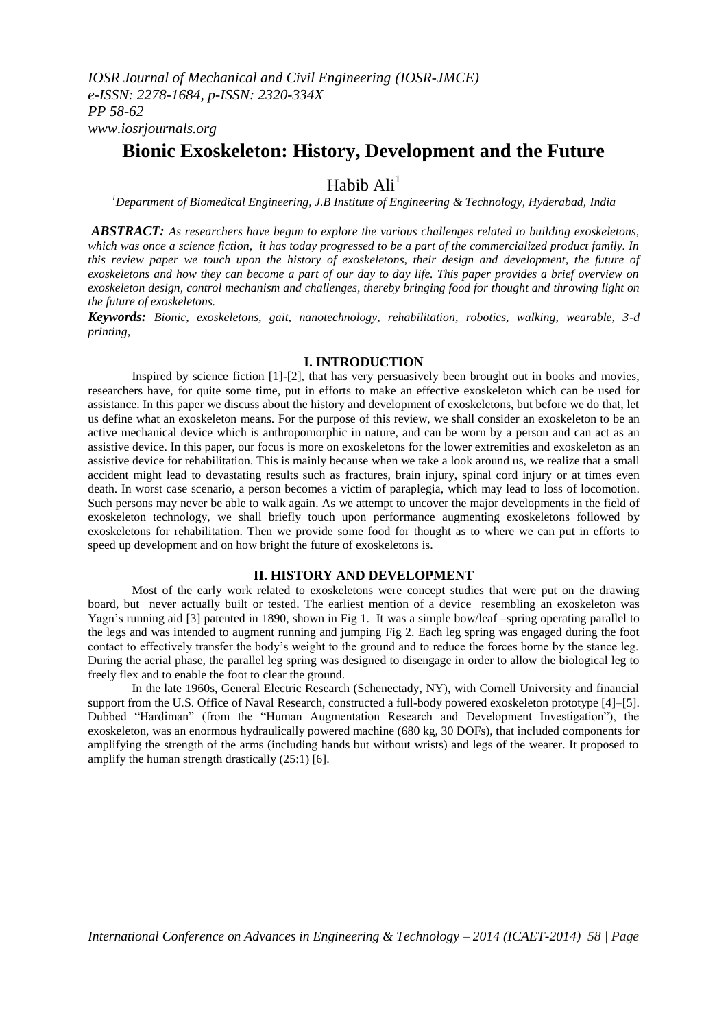# **Bionic Exoskeleton: History, Development and the Future**

# Habib  $\text{Ali}^1$

*<sup>1</sup>Department of Biomedical Engineering, J.B Institute of Engineering & Technology, Hyderabad, India*

*ABSTRACT: As researchers have begun to explore the various challenges related to building exoskeletons, which was once a science fiction, it has today progressed to be a part of the commercialized product family. In this review paper we touch upon the history of exoskeletons, their design and development, the future of exoskeletons and how they can become a part of our day to day life. This paper provides a brief overview on exoskeleton design, control mechanism and challenges, thereby bringing food for thought and throwing light on the future of exoskeletons.*

*Keywords: Bionic, exoskeletons, gait, nanotechnology, rehabilitation, robotics, walking, wearable, 3-d printing,*

## **I. INTRODUCTION**

Inspired by science fiction [1]-[2], that has very persuasively been brought out in books and movies, researchers have, for quite some time, put in efforts to make an effective exoskeleton which can be used for assistance. In this paper we discuss about the history and development of exoskeletons, but before we do that, let us define what an exoskeleton means. For the purpose of this review, we shall consider an exoskeleton to be an active mechanical device which is anthropomorphic in nature, and can be worn by a person and can act as an assistive device. In this paper, our focus is more on exoskeletons for the lower extremities and exoskeleton as an assistive device for rehabilitation. This is mainly because when we take a look around us, we realize that a small accident might lead to devastating results such as fractures, brain injury, spinal cord injury or at times even death. In worst case scenario, a person becomes a victim of paraplegia, which may lead to loss of locomotion. Such persons may never be able to walk again. As we attempt to uncover the major developments in the field of exoskeleton technology, we shall briefly touch upon performance augmenting exoskeletons followed by exoskeletons for rehabilitation. Then we provide some food for thought as to where we can put in efforts to speed up development and on how bright the future of exoskeletons is.

## **II. HISTORY AND DEVELOPMENT**

Most of the early work related to exoskeletons were concept studies that were put on the drawing board, but never actually built or tested. The earliest mention of a device resembling an exoskeleton was Yagn"s running aid [3] patented in 1890, shown in Fig 1. It was a simple bow/leaf –spring operating parallel to the legs and was intended to augment running and jumping Fig 2. Each leg spring was engaged during the foot contact to effectively transfer the body"s weight to the ground and to reduce the forces borne by the stance leg. During the aerial phase, the parallel leg spring was designed to disengage in order to allow the biological leg to freely flex and to enable the foot to clear the ground.

In the late 1960s, General Electric Research (Schenectady, NY), with Cornell University and financial support from the U.S. Office of Naval Research, constructed a full-body powered exoskeleton prototype [4]–[5]. Dubbed "Hardiman" (from the "Human Augmentation Research and Development Investigation"), the exoskeleton, was an enormous hydraulically powered machine (680 kg, 30 DOFs), that included components for amplifying the strength of the arms (including hands but without wrists) and legs of the wearer. It proposed to amplify the human strength drastically (25:1) [6].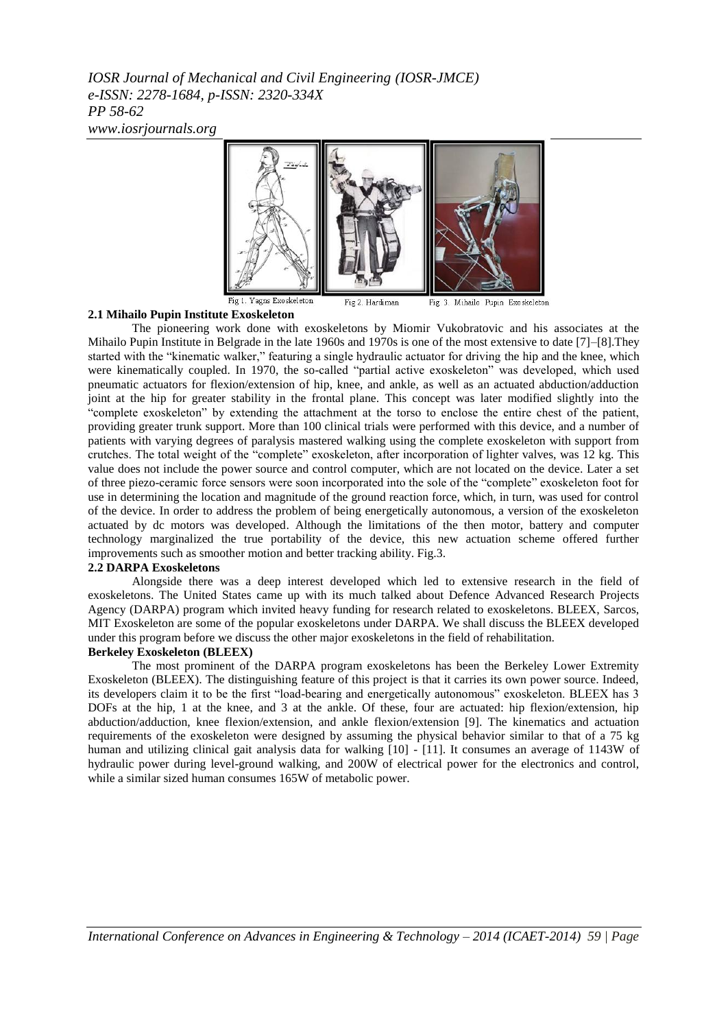*IOSR Journal of Mechanical and Civil Engineering (IOSR-JMCE) e-ISSN: 2278-1684, p-ISSN: 2320-334X PP 58-62 www.iosrjournals.org*



#### **2.1 Mihailo Pupin Institute Exoskeleton**

The pioneering work done with exoskeletons by Miomir Vukobratovic and his associates at the Mihailo Pupin Institute in Belgrade in the late 1960s and 1970s is one of the most extensive to date [7]–[8].They started with the "kinematic walker," featuring a single hydraulic actuator for driving the hip and the knee, which were kinematically coupled. In 1970, the so-called "partial active exoskeleton" was developed, which used pneumatic actuators for flexion/extension of hip, knee, and ankle, as well as an actuated abduction/adduction joint at the hip for greater stability in the frontal plane. This concept was later modified slightly into the "complete exoskeleton" by extending the attachment at the torso to enclose the entire chest of the patient, providing greater trunk support. More than 100 clinical trials were performed with this device, and a number of patients with varying degrees of paralysis mastered walking using the complete exoskeleton with support from crutches. The total weight of the "complete" exoskeleton, after incorporation of lighter valves, was 12 kg. This value does not include the power source and control computer, which are not located on the device. Later a set of three piezo-ceramic force sensors were soon incorporated into the sole of the "complete" exoskeleton foot for use in determining the location and magnitude of the ground reaction force, which, in turn, was used for control of the device. In order to address the problem of being energetically autonomous, a version of the exoskeleton actuated by dc motors was developed. Although the limitations of the then motor, battery and computer technology marginalized the true portability of the device, this new actuation scheme offered further improvements such as smoother motion and better tracking ability. Fig.3.

#### **2.2 DARPA Exoskeletons**

Alongside there was a deep interest developed which led to extensive research in the field of exoskeletons. The United States came up with its much talked about Defence Advanced Research Projects Agency (DARPA) program which invited heavy funding for research related to exoskeletons. BLEEX, Sarcos, MIT Exoskeleton are some of the popular exoskeletons under DARPA. We shall discuss the BLEEX developed under this program before we discuss the other major exoskeletons in the field of rehabilitation.

#### **Berkeley Exoskeleton (BLEEX)**

The most prominent of the DARPA program exoskeletons has been the Berkeley Lower Extremity Exoskeleton (BLEEX). The distinguishing feature of this project is that it carries its own power source. Indeed, its developers claim it to be the first "load-bearing and energetically autonomous" exoskeleton. BLEEX has 3 DOFs at the hip, 1 at the knee, and 3 at the ankle. Of these, four are actuated: hip flexion/extension, hip abduction/adduction, knee flexion/extension, and ankle flexion/extension [9]. The kinematics and actuation requirements of the exoskeleton were designed by assuming the physical behavior similar to that of a 75 kg human and utilizing clinical gait analysis data for walking [10] - [11]. It consumes an average of 1143W of hydraulic power during level-ground walking, and 200W of electrical power for the electronics and control, while a similar sized human consumes 165W of metabolic power.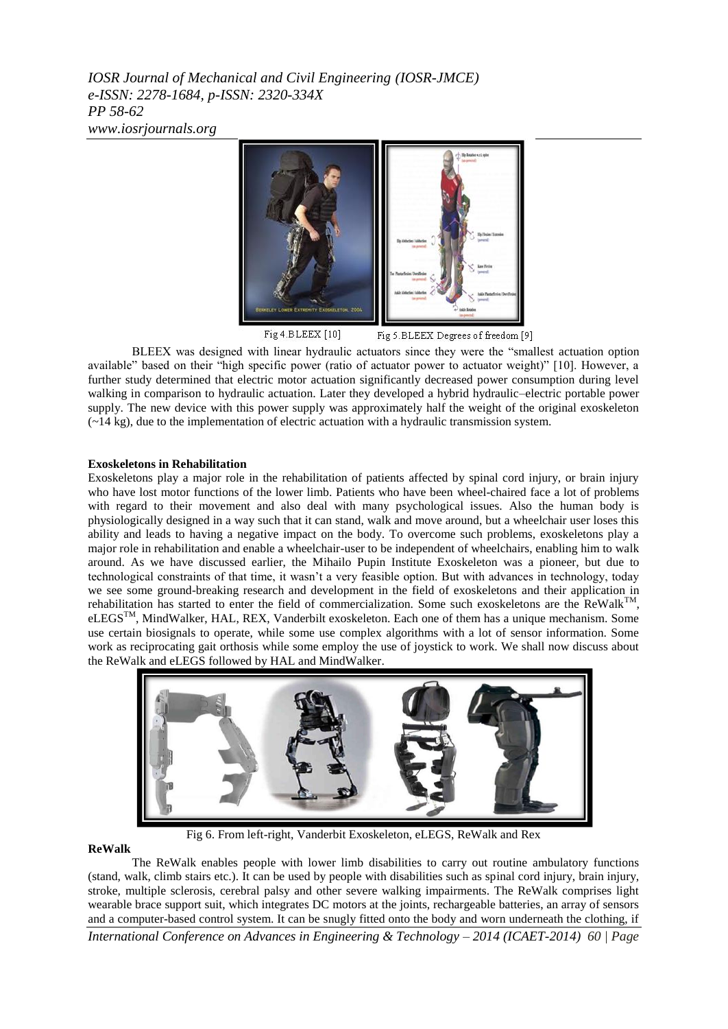*IOSR Journal of Mechanical and Civil Engineering (IOSR-JMCE) e-ISSN: 2278-1684, p-ISSN: 2320-334X PP 58-62 www.iosrjournals.org*



Fig 4.BLEEX [10] Fig 5. BLEEX Degrees of freedom [9]

BLEEX was designed with linear hydraulic actuators since they were the "smallest actuation option available" based on their "high specific power (ratio of actuator power to actuator weight)" [10]. However, a further study determined that electric motor actuation significantly decreased power consumption during level walking in comparison to hydraulic actuation. Later they developed a hybrid hydraulic–electric portable power supply. The new device with this power supply was approximately half the weight of the original exoskeleton (*~*14 kg), due to the implementation of electric actuation with a hydraulic transmission system.

## **Exoskeletons in Rehabilitation**

Exoskeletons play a major role in the rehabilitation of patients affected by spinal cord injury, or brain injury who have lost motor functions of the lower limb. Patients who have been wheel-chaired face a lot of problems with regard to their movement and also deal with many psychological issues. Also the human body is physiologically designed in a way such that it can stand, walk and move around, but a wheelchair user loses this ability and leads to having a negative impact on the body. To overcome such problems, exoskeletons play a major role in rehabilitation and enable a wheelchair-user to be independent of wheelchairs, enabling him to walk around. As we have discussed earlier, the Mihailo Pupin Institute Exoskeleton was a pioneer, but due to technological constraints of that time, it wasn"t a very feasible option. But with advances in technology, today we see some ground-breaking research and development in the field of exoskeletons and their application in rehabilitation has started to enter the field of commercialization. Some such exoskeletons are the ReWalk<sup>TI</sup> , eLEGSTM, MindWalker, HAL, REX, Vanderbilt exoskeleton. Each one of them has a unique mechanism. Some use certain biosignals to operate, while some use complex algorithms with a lot of sensor information. Some work as reciprocating gait orthosis while some employ the use of joystick to work. We shall now discuss about the ReWalk and eLEGS followed by HAL and MindWalker.



Fig 6. From left-right, Vanderbit Exoskeleton, eLEGS, ReWalk and Rex

## **ReWalk**

*International Conference on Advances in Engineering & Technology – 2014 (ICAET-2014) 60 | Page* The ReWalk enables people with lower limb disabilities to carry out routine ambulatory functions (stand, walk, climb stairs etc.). It can be used by people with disabilities such as spinal cord injury, brain injury, stroke, multiple sclerosis, cerebral palsy and other severe walking impairments. The ReWalk comprises light wearable brace support suit, which integrates DC motors at the joints, rechargeable batteries, an array of sensors and a computer-based control system. It can be snugly fitted onto the body and worn underneath the clothing, if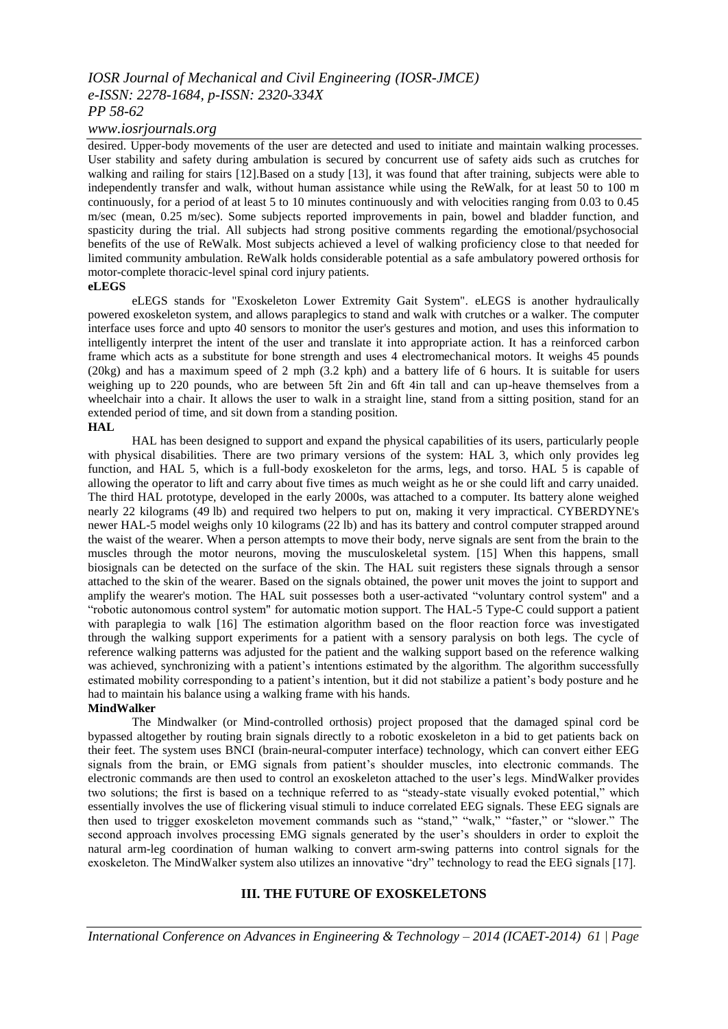# *IOSR Journal of Mechanical and Civil Engineering (IOSR-JMCE) e-ISSN: 2278-1684, p-ISSN: 2320-334X PP 58-62*

*www.iosrjournals.org*

desired. Upper-body movements of the user are detected and used to initiate and maintain walking processes. User stability and safety during ambulation is secured by concurrent use of safety aids such as crutches for walking and railing for stairs [12].Based on a study [13], it was found that after training, subjects were able to independently transfer and walk, without human assistance while using the ReWalk, for at least 50 to 100 m continuously, for a period of at least 5 to 10 minutes continuously and with velocities ranging from 0.03 to 0.45 m/sec (mean, 0.25 m/sec). Some subjects reported improvements in pain, bowel and bladder function, and spasticity during the trial. All subjects had strong positive comments regarding the emotional/psychosocial benefits of the use of ReWalk. Most subjects achieved a level of walking proficiency close to that needed for limited community ambulation. ReWalk holds considerable potential as a safe ambulatory powered orthosis for motor-complete thoracic-level spinal cord injury patients.

**eLEGS**

eLEGS stands for "Exoskeleton Lower Extremity Gait System". eLEGS is another hydraulically powered exoskeleton system, and allows paraplegics to stand and walk with crutches or a walker. The computer interface uses force and upto 40 sensors to monitor the user's gestures and motion, and uses this information to intelligently interpret the intent of the user and translate it into appropriate action. It has a reinforced carbon frame which acts as a substitute for bone strength and uses 4 electromechanical motors. It weighs 45 pounds (20kg) and has a maximum speed of 2 mph (3.2 kph) and a battery life of 6 hours. It is suitable for users weighing up to 220 pounds, who are between 5ft 2in and 6ft 4in tall and can up-heave themselves from a wheelchair into a chair. It allows the user to walk in a straight line, stand from a sitting position, stand for an extended period of time, and sit down from a standing position.

## **HAL**

HAL has been designed to support and expand the physical capabilities of its users, particularly people with physical disabilities. There are two primary versions of the system: HAL 3, which only provides leg function, and HAL 5, which is a full-body exoskeleton for the arms, legs, and torso. HAL 5 is capable of allowing the operator to lift and carry about five times as much weight as he or she could lift and carry unaided. The third HAL prototype, developed in the early 2000s, was attached to a computer. Its battery alone weighed nearly 22 kilograms (49 lb) and required two helpers to put on, making it very impractical. CYBERDYNE's newer HAL-5 model weighs only 10 kilograms (22 lb) and has its battery and control computer strapped around the waist of the wearer. When a person attempts to move their body, nerve signals are sent from the brain to the muscles through the motor neurons, moving the musculoskeletal system. [15] When this happens, small biosignals can be detected on the surface of the skin. The HAL suit registers these signals through a sensor attached to the skin of the wearer. Based on the signals obtained, the power unit moves the joint to support and amplify the wearer's motion. The HAL suit possesses both a user-activated "voluntary control system" and a "robotic autonomous control system" for automatic motion support. The HAL-5 Type-C could support a patient with paraplegia to walk [16] The estimation algorithm based on the floor reaction force was investigated through the walking support experiments for a patient with a sensory paralysis on both legs. The cycle of reference walking patterns was adjusted for the patient and the walking support based on the reference walking was achieved, synchronizing with a patient's intentions estimated by the algorithm. The algorithm successfully estimated mobility corresponding to a patient"s intention, but it did not stabilize a patient"s body posture and he had to maintain his balance using a walking frame with his hands.

## **MindWalker**

The Mindwalker (or Mind-controlled orthosis) project proposed that the damaged spinal cord be bypassed altogether by routing brain signals directly to a robotic exoskeleton in a bid to get patients back on their feet. The system uses BNCI (brain-neural-computer interface) technology, which can convert either EEG signals from the brain, or EMG signals from patient's shoulder muscles, into electronic commands. The electronic commands are then used to control an exoskeleton attached to the user"s legs. MindWalker provides two solutions; the first is based on a technique referred to as "steady-state visually evoked potential," which essentially involves the use of flickering visual stimuli to induce correlated EEG signals. These EEG signals are then used to trigger exoskeleton movement commands such as "stand," "walk," "faster," or "slower." The second approach involves processing EMG signals generated by the user"s shoulders in order to exploit the natural arm-leg coordination of human walking to convert arm-swing patterns into control signals for the exoskeleton. The MindWalker system also utilizes an innovative "dry" technology to read the EEG signals [17].

## **III. THE FUTURE OF EXOSKELETONS**

*International Conference on Advances in Engineering & Technology – 2014 (ICAET-2014) 61 | Page*